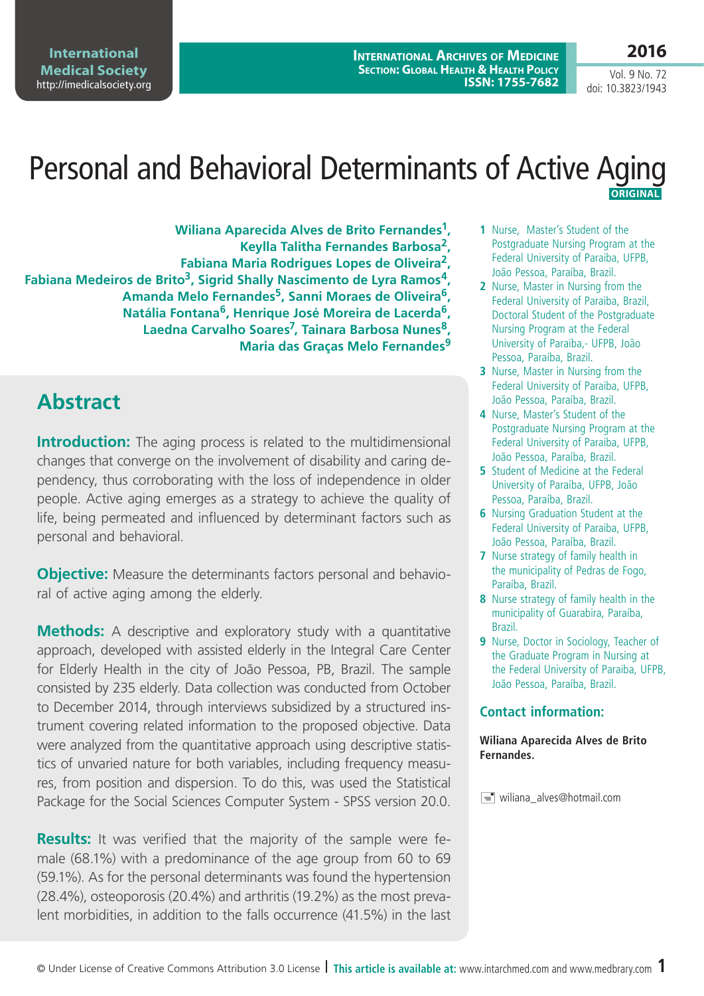**2016** Vol. 9 No. 72

doi: 10.3823/1943

# Personal and Behavioral Determinants of Active Aging  **Original**

**Wiliana Aparecida Alves de Brito Fernandes1, Keylla Talitha Fernandes Barbosa2, Fabiana Maria Rodrigues Lopes de Oliveira2, Fabiana Medeiros de Brito3, Sigrid Shally Nascimento de Lyra Ramos4, Amanda Melo Fernandes5, Sanni Moraes de Oliveira6, Natália Fontana6, Henrique José Moreira de Lacerda6, Laedna Carvalho Soares7, Tainara Barbosa Nunes8, Maria das Graças Melo Fernandes9**

## **Abstract**

**Introduction:** The aging process is related to the multidimensional changes that converge on the involvement of disability and caring dependency, thus corroborating with the loss of independence in older people. Active aging emerges as a strategy to achieve the quality of life, being permeated and influenced by determinant factors such as personal and behavioral.

**Obiective:** Measure the determinants factors personal and behavioral of active aging among the elderly.

**Methods:** A descriptive and exploratory study with a quantitative approach, developed with assisted elderly in the Integral Care Center for Elderly Health in the city of João Pessoa, PB, Brazil. The sample consisted by 235 elderly. Data collection was conducted from October to December 2014, through interviews subsidized by a structured instrument covering related information to the proposed objective. Data were analyzed from the quantitative approach using descriptive statistics of unvaried nature for both variables, including frequency measures, from position and dispersion. To do this, was used the Statistical Package for the Social Sciences Computer System - SPSS version 20.0.

**Results:** It was verified that the majority of the sample were female (68.1%) with a predominance of the age group from 60 to 69 (59.1%). As for the personal determinants was found the hypertension (28.4%), osteoporosis (20.4%) and arthritis (19.2%) as the most prevalent morbidities, in addition to the falls occurrence (41.5%) in the last

- **1** Nurse, Master's Student of the Postgraduate Nursing Program at the Federal University of Paraiba, UFPB, João Pessoa, Paraíba, Brazil.
- **2** Nurse, Master in Nursing from the Federal University of Paraiba, Brazil, Doctoral Student of the Postgraduate Nursing Program at the Federal University of Paraiba,- UFPB, João Pessoa, Paraíba, Brazil.
- **3** Nurse, Master in Nursing from the Federal University of Paraiba, UFPB, João Pessoa, Paraíba, Brazil.
- **4** Nurse, Master's Student of the Postgraduate Nursing Program at the Federal University of Paraiba, UFPB, João Pessoa, Paraíba, Brazil.
- **5** Student of Medicine at the Federal University of Paraíba, UFPB, João Pessoa, Paraíba, Brazil.
- **6** Nursing Graduation Student at the Federal University of Paraiba, UFPB, João Pessoa, Paraíba, Brazil.
- **7** Nurse strategy of family health in the municipality of Pedras de Fogo, Paraíba, Brazil.
- **8** Nurse strategy of family health in the municipality of Guarabira, Paraíba, Brazil.
- **9** Nurse, Doctor in Sociology, Teacher of the Graduate Program in Nursing at the Federal University of Paraiba, UFPB, João Pessoa, Paraíba, Brazil.

#### **Contact information:**

**Wiliana Aparecida Alves de Brito Fernandes.**

 $\equiv$  wiliana alves@hotmail.com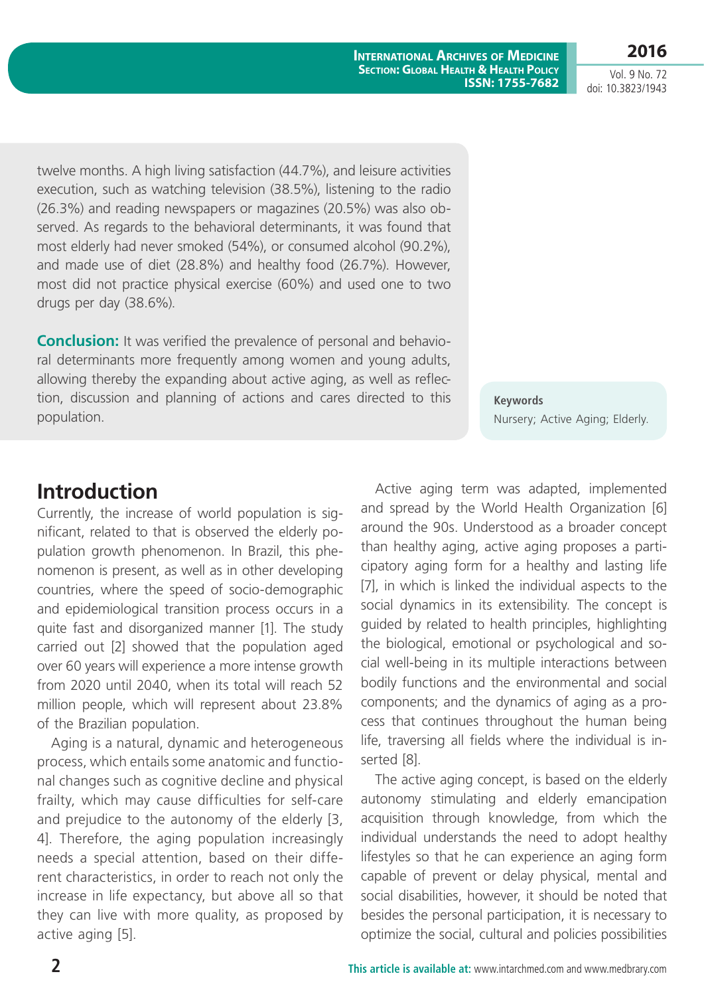twelve months. A high living satisfaction (44.7%), and leisure activities execution, such as watching television (38.5%), listening to the radio (26.3%) and reading newspapers or magazines (20.5%) was also observed. As regards to the behavioral determinants, it was found that most elderly had never smoked (54%), or consumed alcohol (90.2%), and made use of diet (28.8%) and healthy food (26.7%). However, most did not practice physical exercise (60%) and used one to two drugs per day (38.6%).

**Conclusion:** It was verified the prevalence of personal and behavioral determinants more frequently among women and young adults, allowing thereby the expanding about active aging, as well as reflection, discussion and planning of actions and cares directed to this population.

**Keywords** Nursery; Active Aging; Elderly.

#### **Introduction**

Currently, the increase of world population is significant, related to that is observed the elderly population growth phenomenon. In Brazil, this phenomenon is present, as well as in other developing countries, where the speed of socio-demographic and epidemiological transition process occurs in a quite fast and disorganized manner [1]. The study carried out [2] showed that the population aged over 60 years will experience a more intense growth from 2020 until 2040, when its total will reach 52 million people, which will represent about 23.8% of the Brazilian population.

Aging is a natural, dynamic and heterogeneous process, which entails some anatomic and functional changes such as cognitive decline and physical frailty, which may cause difficulties for self-care and prejudice to the autonomy of the elderly [3, 4]. Therefore, the aging population increasingly needs a special attention, based on their different characteristics, in order to reach not only the increase in life expectancy, but above all so that they can live with more quality, as proposed by active aging [5].

Active aging term was adapted, implemented and spread by the World Health Organization [6] around the 90s. Understood as a broader concept than healthy aging, active aging proposes a participatory aging form for a healthy and lasting life [7], in which is linked the individual aspects to the social dynamics in its extensibility. The concept is guided by related to health principles, highlighting the biological, emotional or psychological and social well-being in its multiple interactions between bodily functions and the environmental and social components; and the dynamics of aging as a process that continues throughout the human being life, traversing all fields where the individual is inserted [8].

The active aging concept, is based on the elderly autonomy stimulating and elderly emancipation acquisition through knowledge, from which the individual understands the need to adopt healthy lifestyles so that he can experience an aging form capable of prevent or delay physical, mental and social disabilities, however, it should be noted that besides the personal participation, it is necessary to optimize the social, cultural and policies possibilities

doi: 10.3823/1943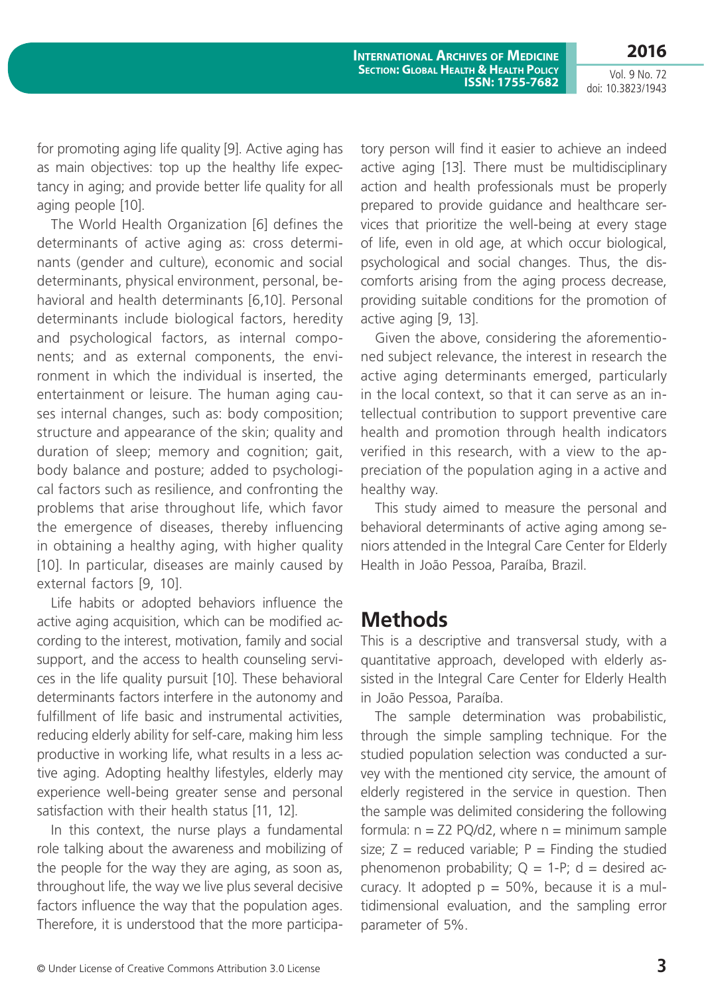**2016** Vol. 9 No. 72

**International Archives of Medicine Section: Global Health & Health Policy ISSN: 1755-7682**

doi: 10.3823/1943

for promoting aging life quality [9]. Active aging has as main objectives: top up the healthy life expectancy in aging; and provide better life quality for all aging people [10].

The World Health Organization [6] defines the determinants of active aging as: cross determinants (gender and culture), economic and social determinants, physical environment, personal, behavioral and health determinants [6,10]. Personal determinants include biological factors, heredity and psychological factors, as internal components; and as external components, the environment in which the individual is inserted, the entertainment or leisure. The human aging causes internal changes, such as: body composition; structure and appearance of the skin; quality and duration of sleep; memory and cognition; gait, body balance and posture; added to psychological factors such as resilience, and confronting the problems that arise throughout life, which favor the emergence of diseases, thereby influencing in obtaining a healthy aging, with higher quality [10]. In particular, diseases are mainly caused by external factors [9, 10].

Life habits or adopted behaviors influence the active aging acquisition, which can be modified according to the interest, motivation, family and social support, and the access to health counseling services in the life quality pursuit [10]. These behavioral determinants factors interfere in the autonomy and fulfillment of life basic and instrumental activities, reducing elderly ability for self-care, making him less productive in working life, what results in a less active aging. Adopting healthy lifestyles, elderly may experience well-being greater sense and personal satisfaction with their health status [11, 12].

In this context, the nurse plays a fundamental role talking about the awareness and mobilizing of the people for the way they are aging, as soon as, throughout life, the way we live plus several decisive factors influence the way that the population ages. Therefore, it is understood that the more participatory person will find it easier to achieve an indeed active aging [13]. There must be multidisciplinary action and health professionals must be properly prepared to provide guidance and healthcare services that prioritize the well-being at every stage of life, even in old age, at which occur biological, psychological and social changes. Thus, the discomforts arising from the aging process decrease, providing suitable conditions for the promotion of active aging [9, 13].

Given the above, considering the aforementioned subject relevance, the interest in research the active aging determinants emerged, particularly in the local context, so that it can serve as an intellectual contribution to support preventive care health and promotion through health indicators verified in this research, with a view to the appreciation of the population aging in a active and healthy way.

This study aimed to measure the personal and behavioral determinants of active aging among seniors attended in the Integral Care Center for Elderly Health in João Pessoa, Paraíba, Brazil.

### **Methods**

This is a descriptive and transversal study, with a quantitative approach, developed with elderly assisted in the Integral Care Center for Elderly Health in João Pessoa, Paraíba.

The sample determination was probabilistic, through the simple sampling technique. For the studied population selection was conducted a survey with the mentioned city service, the amount of elderly registered in the service in question. Then the sample was delimited considering the following formula:  $n = Z2 PQ/d2$ , where  $n =$  minimum sample size;  $Z =$  reduced variable;  $P =$  Finding the studied phenomenon probability;  $Q = 1-P$ ;  $d =$  desired accuracy. It adopted  $p = 50\%$ , because it is a multidimensional evaluation, and the sampling error parameter of 5%.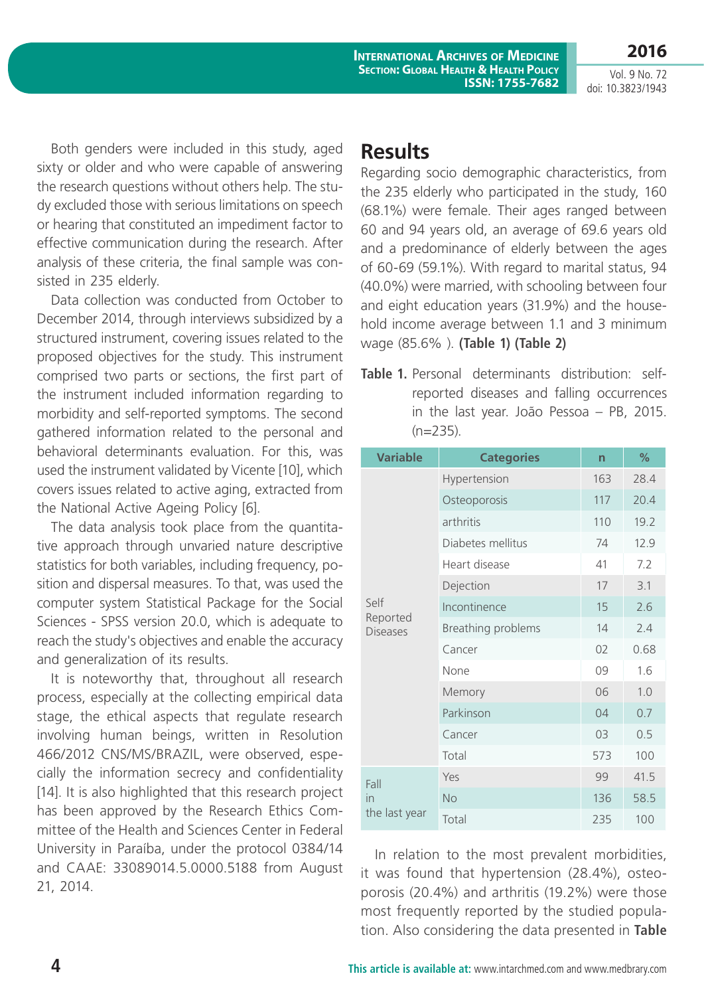Vol. 9 No. 72 doi: 10.3823/1943

**2016**

Both genders were included in this study, aged sixty or older and who were capable of answering the research questions without others help. The study excluded those with serious limitations on speech or hearing that constituted an impediment factor to effective communication during the research. After analysis of these criteria, the final sample was consisted in 235 elderly.

Data collection was conducted from October to December 2014, through interviews subsidized by a structured instrument, covering issues related to the proposed objectives for the study. This instrument comprised two parts or sections, the first part of the instrument included information regarding to morbidity and self-reported symptoms. The second gathered information related to the personal and behavioral determinants evaluation. For this, was used the instrument validated by Vicente [10], which covers issues related to active aging, extracted from the National Active Ageing Policy [6].

The data analysis took place from the quantitative approach through unvaried nature descriptive statistics for both variables, including frequency, position and dispersal measures. To that, was used the computer system Statistical Package for the Social Sciences - SPSS version 20.0, which is adequate to reach the study's objectives and enable the accuracy and generalization of its results.

It is noteworthy that, throughout all research process, especially at the collecting empirical data stage, the ethical aspects that regulate research involving human beings, written in Resolution 466/2012 CNS/MS/BRAZIL, were observed, especially the information secrecy and confidentiality [14]. It is also highlighted that this research project has been approved by the Research Ethics Committee of the Health and Sciences Center in Federal University in Paraíba, under the protocol 0384/14 and CAAE: 33089014.5.0000.5188 from August 21, 2014.

#### **Results**

Regarding socio demographic characteristics, from the 235 elderly who participated in the study, 160 (68.1%) were female. Their ages ranged between 60 and 94 years old, an average of 69.6 years old and a predominance of elderly between the ages of 60-69 (59.1%). With regard to marital status, 94 (40.0%) were married, with schooling between four and eight education years (31.9%) and the household income average between 1.1 and 3 minimum wage (85.6% ). **(Table 1) (Table 2)**

**Table 1.** Personal determinants distribution: selfreported diseases and falling occurrences in the last year. João Pessoa – PB, 2015.  $(n=235)$ .

| <b>Variable</b>                     | <b>Categories</b>  | n   | $\frac{9}{6}$ |
|-------------------------------------|--------------------|-----|---------------|
| Self<br>Reported<br><b>Diseases</b> | Hypertension       | 163 | 28.4          |
|                                     | Osteoporosis       | 117 | 20.4          |
|                                     | arthritis          | 110 | 19.2          |
|                                     | Diabetes mellitus  | 74  | 12.9          |
|                                     | Heart disease      | 41  | 7.2           |
|                                     | Dejection          | 17  | 3.1           |
|                                     | Incontinence       | 15  | 2.6           |
|                                     | Breathing problems | 14  | 2.4           |
|                                     | Cancer             | 02  | 0.68          |
|                                     | None               | 09  | 1.6           |
|                                     | Memory             | 06  | 1.0           |
|                                     | Parkinson          | 04  | 0.7           |
|                                     | Cancer             | 03  | 0.5           |
|                                     | Total              | 573 | 100           |
| Fall<br>in<br>the last year         | Yes                | 99  | 41.5          |
|                                     | <b>No</b>          | 136 | 58.5          |
|                                     | Total              | 235 | 100           |

In relation to the most prevalent morbidities, it was found that hypertension (28.4%), osteoporosis (20.4%) and arthritis (19.2%) were those most frequently reported by the studied population. Also considering the data presented in **Table**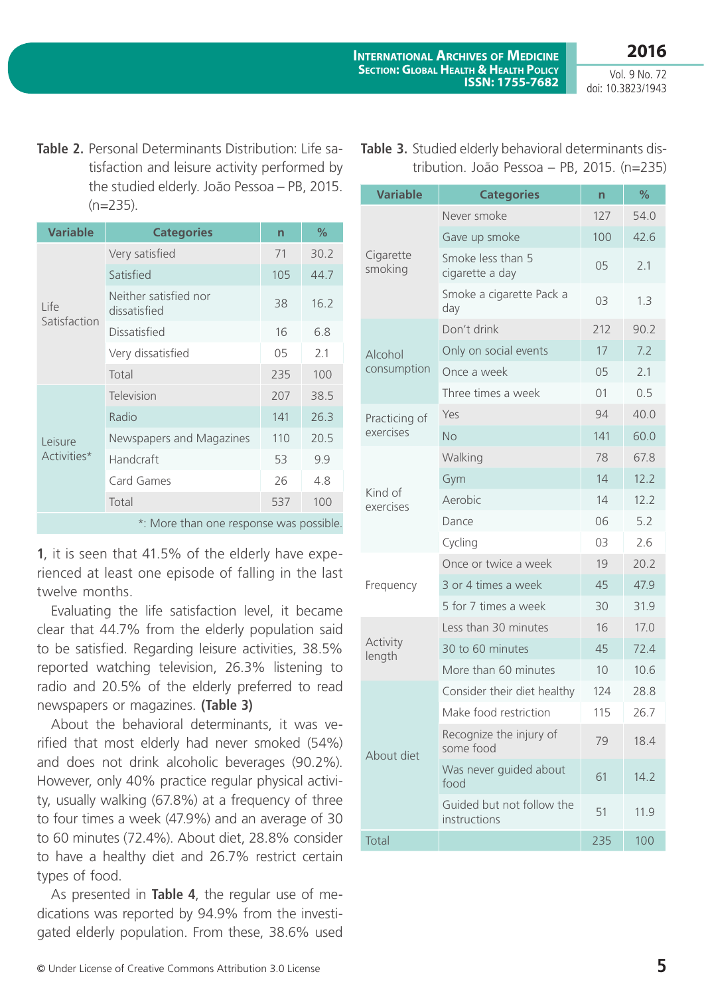**Table 2.** Personal Determinants Distribution: Life satisfaction and leisure activity performed by the studied elderly. João Pessoa – PB, 2015.  $(n=235)$ .

| <b>Variable</b>        | <b>Categories</b>                     | $\overline{\mathsf{n}}$ | %    |
|------------------------|---------------------------------------|-------------------------|------|
| Life<br>Satisfaction   | Very satisfied                        | 71                      | 30.2 |
|                        | Satisfied                             | 105                     | 44.7 |
|                        | Neither satisfied nor<br>dissatisfied | 38                      | 16.2 |
|                        | Dissatisfied                          | 16                      | 6.8  |
|                        | Very dissatisfied                     | 05                      | 2.1  |
|                        | Total                                 | 235                     | 100  |
| Leisure<br>Activities* | Television                            | 207                     | 38.5 |
|                        | Radio                                 | 141                     | 26.3 |
|                        | Newspapers and Magazines              | 110                     | 20.5 |
|                        | Handcraft                             | 53                      | 9.9  |
|                        | Card Games                            | 26                      | 4.8  |
|                        | Total                                 | 537                     | 100  |
|                        |                                       |                         |      |

\*: More than one response was possible.

**1**, it is seen that 41.5% of the elderly have experienced at least one episode of falling in the last twelve months.

Evaluating the life satisfaction level, it became clear that 44.7% from the elderly population said to be satisfied. Regarding leisure activities, 38.5% reported watching television, 26.3% listening to radio and 20.5% of the elderly preferred to read newspapers or magazines. **(Table 3)**

About the behavioral determinants, it was verified that most elderly had never smoked (54%) and does not drink alcoholic beverages (90.2%). However, only 40% practice regular physical activity, usually walking (67.8%) at a frequency of three to four times a week (47.9%) and an average of 30 to 60 minutes (72.4%). About diet, 28.8% consider to have a healthy diet and 26.7% restrict certain types of food.

As presented in **Table 4**, the regular use of medications was reported by 94.9% from the investigated elderly population. From these, 38.6% used

| Table 3. Studied elderly behavioral determinants dis- |  |  |  |
|-------------------------------------------------------|--|--|--|
| tribution. João Pessoa - PB, 2015. (n=235)            |  |  |  |

| <b>Variable</b>      | <b>Categories</b>                         | n   | %    |
|----------------------|-------------------------------------------|-----|------|
| Cigarette<br>smoking | Never smoke                               | 127 | 54.0 |
|                      | Gave up smoke                             | 100 | 42.6 |
|                      | Smoke less than 5<br>cigarette a day      | 05  | 2.1  |
|                      | Smoke a cigarette Pack a<br>day           | 03  | 1.3  |
|                      | Don't drink                               | 212 | 90.2 |
| Alcohol              | Only on social events                     | 17  | 7.2  |
| consumption          | Once a week                               | 05  | 2.1  |
|                      | Three times a week                        | 01  | 0.5  |
| Practicing of        | Yes                                       | 94  | 40.0 |
| exercises            | <b>No</b>                                 | 141 | 60.0 |
|                      | Walking                                   | 78  | 67.8 |
|                      | Gym                                       | 14  | 12.2 |
| Kind of<br>exercises | Aerobic                                   | 14  | 12.2 |
|                      | Dance                                     | 06  | 5.2  |
|                      | Cycling                                   | 03  | 2.6  |
|                      | Once or twice a week                      | 19  | 20.2 |
| Frequency            | 3 or 4 times a week                       | 45  | 47.9 |
|                      | 5 for 7 times a week                      | 30  | 31.9 |
|                      | Less than 30 minutes                      | 16  | 17.0 |
| Activity<br>length   | 30 to 60 minutes                          | 45  | 72.4 |
|                      | More than 60 minutes                      | 10  | 10.6 |
|                      | Consider their diet healthy               | 124 | 28.8 |
| About diet           | Make food restriction                     | 115 | 26.7 |
|                      | Recognize the injury of<br>some food      | 79  | 18.4 |
|                      | Was never guided about<br>food            | 61  | 14.2 |
|                      | Guided but not follow the<br>instructions | 51  | 11.9 |
| Total                |                                           | 235 | 100  |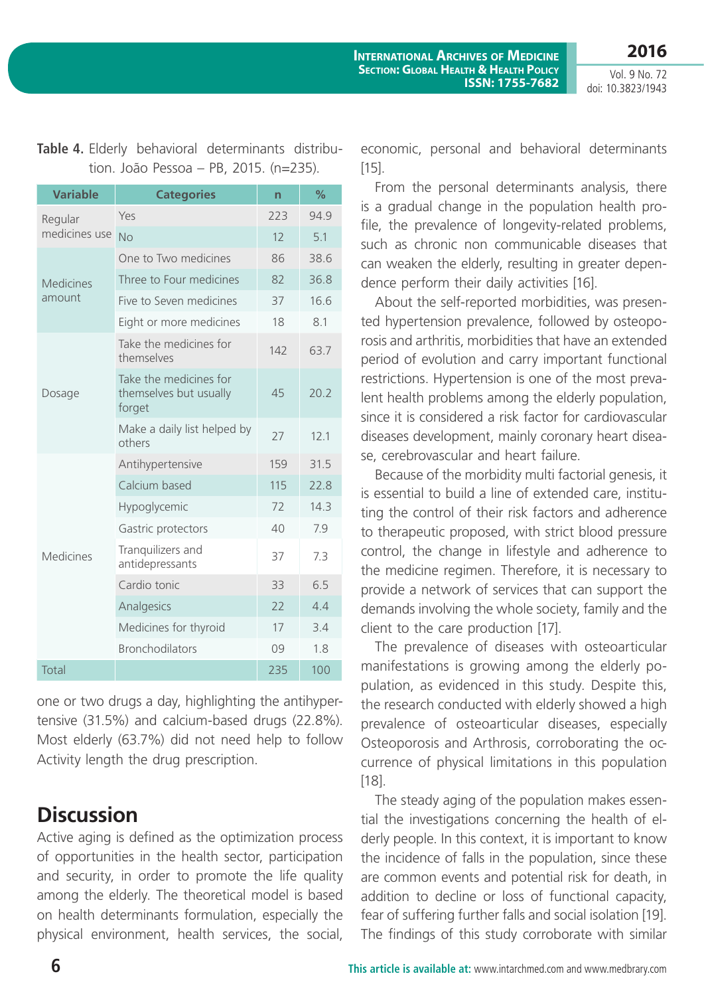| <b>Variable</b>          | <b>Categories</b>                                          | n   | $\%$ |
|--------------------------|------------------------------------------------------------|-----|------|
| Regular<br>medicines use | Yes                                                        | 223 | 94.9 |
|                          | <b>No</b>                                                  | 12  | 5.1  |
| <b>Medicines</b>         | One to Two medicines                                       | 86  | 38.6 |
|                          | Three to Four medicines                                    | 82  | 36.8 |
| amount                   | Five to Seven medicines                                    | 37  | 16.6 |
|                          | Eight or more medicines                                    | 18  | 8.1  |
| Dosage                   | Take the medicines for<br>themselves                       | 142 | 63.7 |
|                          | Take the medicines for<br>themselves but usually<br>forget | 45  | 20.2 |
|                          | Make a daily list helped by<br>others                      | 27  | 12.1 |
|                          | Antihypertensive                                           | 159 | 31.5 |
|                          | Calcium based                                              | 115 | 22.8 |
|                          | Hypoglycemic                                               | 72  | 14.3 |
| <b>Medicines</b>         | Gastric protectors                                         | 40  | 7.9  |
|                          | Tranquilizers and<br>antidepressants                       | 37  | 7.3  |
|                          | Cardio tonic                                               | 33  | 6.5  |
|                          | Analgesics                                                 | 22  | 4.4  |
|                          | Medicines for thyroid                                      | 17  | 3.4  |
|                          | <b>Bronchodilators</b>                                     | 09  | 1.8  |
| Total                    |                                                            | 235 | 100  |

**Table 4.** Elderly behavioral determinants distribution. João Pessoa – PB, 2015. (n=235).

one or two drugs a day, highlighting the antihypertensive (31.5%) and calcium-based drugs (22.8%). Most elderly (63.7%) did not need help to follow Activity length the drug prescription.

### **Discussion**

Active aging is defined as the optimization process of opportunities in the health sector, participation and security, in order to promote the life quality among the elderly. The theoretical model is based on health determinants formulation, especially the physical environment, health services, the social,

economic, personal and behavioral determinants [15].

From the personal determinants analysis, there is a gradual change in the population health profile, the prevalence of longevity-related problems, such as chronic non communicable diseases that can weaken the elderly, resulting in greater dependence perform their daily activities [16].

About the self-reported morbidities, was presented hypertension prevalence, followed by osteoporosis and arthritis, morbidities that have an extended period of evolution and carry important functional restrictions. Hypertension is one of the most prevalent health problems among the elderly population, since it is considered a risk factor for cardiovascular diseases development, mainly coronary heart disease, cerebrovascular and heart failure.

Because of the morbidity multi factorial genesis, it is essential to build a line of extended care, instituting the control of their risk factors and adherence to therapeutic proposed, with strict blood pressure control, the change in lifestyle and adherence to the medicine regimen. Therefore, it is necessary to provide a network of services that can support the demands involving the whole society, family and the client to the care production [17].

The prevalence of diseases with osteoarticular manifestations is growing among the elderly population, as evidenced in this study. Despite this, the research conducted with elderly showed a high prevalence of osteoarticular diseases, especially Osteoporosis and Arthrosis, corroborating the occurrence of physical limitations in this population [18].

The steady aging of the population makes essential the investigations concerning the health of elderly people. In this context, it is important to know the incidence of falls in the population, since these are common events and potential risk for death, in addition to decline or loss of functional capacity, fear of suffering further falls and social isolation [19]. The findings of this study corroborate with similar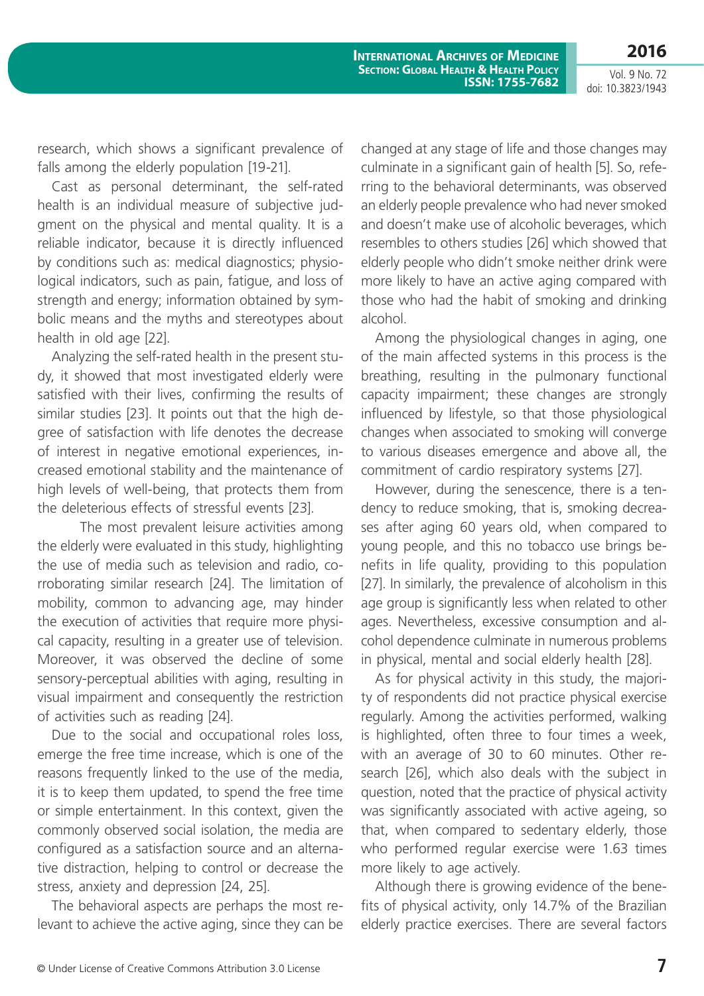**2016**

research, which shows a significant prevalence of falls among the elderly population [19-21].

Cast as personal determinant, the self-rated health is an individual measure of subjective judgment on the physical and mental quality. It is a reliable indicator, because it is directly influenced by conditions such as: medical diagnostics; physiological indicators, such as pain, fatigue, and loss of strength and energy; information obtained by symbolic means and the myths and stereotypes about health in old age [22].

Analyzing the self-rated health in the present study, it showed that most investigated elderly were satisfied with their lives, confirming the results of similar studies [23]. It points out that the high degree of satisfaction with life denotes the decrease of interest in negative emotional experiences, increased emotional stability and the maintenance of high levels of well-being, that protects them from the deleterious effects of stressful events [23].

The most prevalent leisure activities among the elderly were evaluated in this study, highlighting the use of media such as television and radio, corroborating similar research [24]. The limitation of mobility, common to advancing age, may hinder the execution of activities that require more physical capacity, resulting in a greater use of television. Moreover, it was observed the decline of some sensory-perceptual abilities with aging, resulting in visual impairment and consequently the restriction of activities such as reading [24].

Due to the social and occupational roles loss, emerge the free time increase, which is one of the reasons frequently linked to the use of the media, it is to keep them updated, to spend the free time or simple entertainment. In this context, given the commonly observed social isolation, the media are configured as a satisfaction source and an alternative distraction, helping to control or decrease the stress, anxiety and depression [24, 25].

The behavioral aspects are perhaps the most relevant to achieve the active aging, since they can be changed at any stage of life and those changes may culminate in a significant gain of health [5]. So, referring to the behavioral determinants, was observed an elderly people prevalence who had never smoked and doesn't make use of alcoholic beverages, which resembles to others studies [26] which showed that elderly people who didn't smoke neither drink were more likely to have an active aging compared with those who had the habit of smoking and drinking alcohol.

Among the physiological changes in aging, one of the main affected systems in this process is the breathing, resulting in the pulmonary functional capacity impairment; these changes are strongly influenced by lifestyle, so that those physiological changes when associated to smoking will converge to various diseases emergence and above all, the commitment of cardio respiratory systems [27].

However, during the senescence, there is a tendency to reduce smoking, that is, smoking decreases after aging 60 years old, when compared to young people, and this no tobacco use brings benefits in life quality, providing to this population [27]. In similarly, the prevalence of alcoholism in this age group is significantly less when related to other ages. Nevertheless, excessive consumption and alcohol dependence culminate in numerous problems in physical, mental and social elderly health [28].

As for physical activity in this study, the majority of respondents did not practice physical exercise regularly. Among the activities performed, walking is highlighted, often three to four times a week, with an average of 30 to 60 minutes. Other research [26], which also deals with the subject in question, noted that the practice of physical activity was significantly associated with active ageing, so that, when compared to sedentary elderly, those who performed regular exercise were 1.63 times more likely to age actively.

Although there is growing evidence of the benefits of physical activity, only 14.7% of the Brazilian elderly practice exercises. There are several factors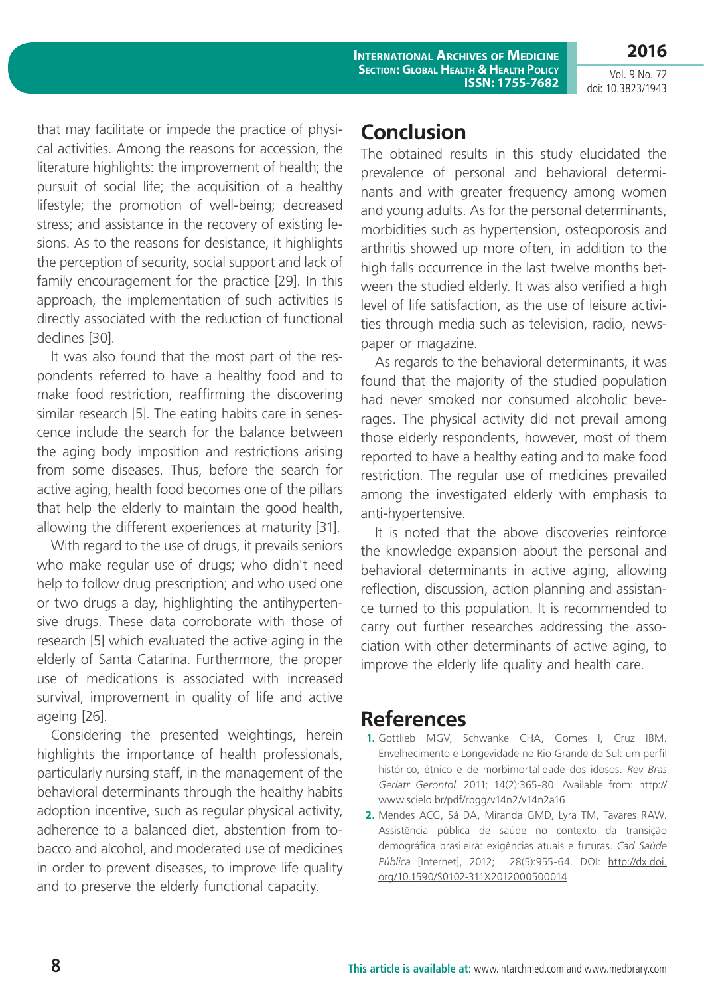Vol. 9 No. 72 doi: 10.3823/1943

**2016**

that may facilitate or impede the practice of physical activities. Among the reasons for accession, the literature highlights: the improvement of health; the pursuit of social life; the acquisition of a healthy lifestyle; the promotion of well-being; decreased stress; and assistance in the recovery of existing lesions. As to the reasons for desistance, it highlights the perception of security, social support and lack of family encouragement for the practice [29]. In this approach, the implementation of such activities is directly associated with the reduction of functional declines [30].

It was also found that the most part of the respondents referred to have a healthy food and to make food restriction, reaffirming the discovering similar research [5]. The eating habits care in senescence include the search for the balance between the aging body imposition and restrictions arising from some diseases. Thus, before the search for active aging, health food becomes one of the pillars that help the elderly to maintain the good health, allowing the different experiences at maturity [31].

With regard to the use of drugs, it prevails seniors who make regular use of drugs; who didn't need help to follow drug prescription; and who used one or two drugs a day, highlighting the antihypertensive drugs. These data corroborate with those of research [5] which evaluated the active aging in the elderly of Santa Catarina. Furthermore, the proper use of medications is associated with increased survival, improvement in quality of life and active ageing [26].

Considering the presented weightings, herein highlights the importance of health professionals, particularly nursing staff, in the management of the behavioral determinants through the healthy habits adoption incentive, such as regular physical activity, adherence to a balanced diet, abstention from tobacco and alcohol, and moderated use of medicines in order to prevent diseases, to improve life quality and to preserve the elderly functional capacity.

#### **Conclusion**

The obtained results in this study elucidated the prevalence of personal and behavioral determinants and with greater frequency among women and young adults. As for the personal determinants, morbidities such as hypertension, osteoporosis and arthritis showed up more often, in addition to the high falls occurrence in the last twelve months between the studied elderly. It was also verified a high level of life satisfaction, as the use of leisure activities through media such as television, radio, newspaper or magazine.

As regards to the behavioral determinants, it was found that the majority of the studied population had never smoked nor consumed alcoholic beverages. The physical activity did not prevail among those elderly respondents, however, most of them reported to have a healthy eating and to make food restriction. The regular use of medicines prevailed among the investigated elderly with emphasis to anti-hypertensive.

It is noted that the above discoveries reinforce the knowledge expansion about the personal and behavioral determinants in active aging, allowing reflection, discussion, action planning and assistance turned to this population. It is recommended to carry out further researches addressing the association with other determinants of active aging, to improve the elderly life quality and health care.

#### **References**

- **1.** Gottlieb MGV, Schwanke CHA, Gomes I, Cruz IBM. Envelhecimento e Longevidade no Rio Grande do Sul: um perfil histórico, étnico e de morbimortalidade dos idosos. *Rev Bras Geriatr Gerontol*. 2011; 14(2):365-80. Available from: [http://](http://www.scielo.br/pdf/rbgg/v14n2/v14n2a16) [www.scielo.br/pdf/rbgg/v14n2/v14n2a16](http://www.scielo.br/pdf/rbgg/v14n2/v14n2a16)
- **2.** Mendes ACG, Sá DA, Miranda GMD, Lyra TM, Tavares RAW. Assistência pública de saúde no contexto da transição demográfica brasileira: exigências atuais e futuras. *Cad Saúde Pública* [Internet], 2012; 28(5):955-64. DOI: [http://dx.doi.](http://dx.doi.org/10.1590/S0102-311X2012000500014) [org/10.1590/S0102-311X2012000500014](http://dx.doi.org/10.1590/S0102-311X2012000500014)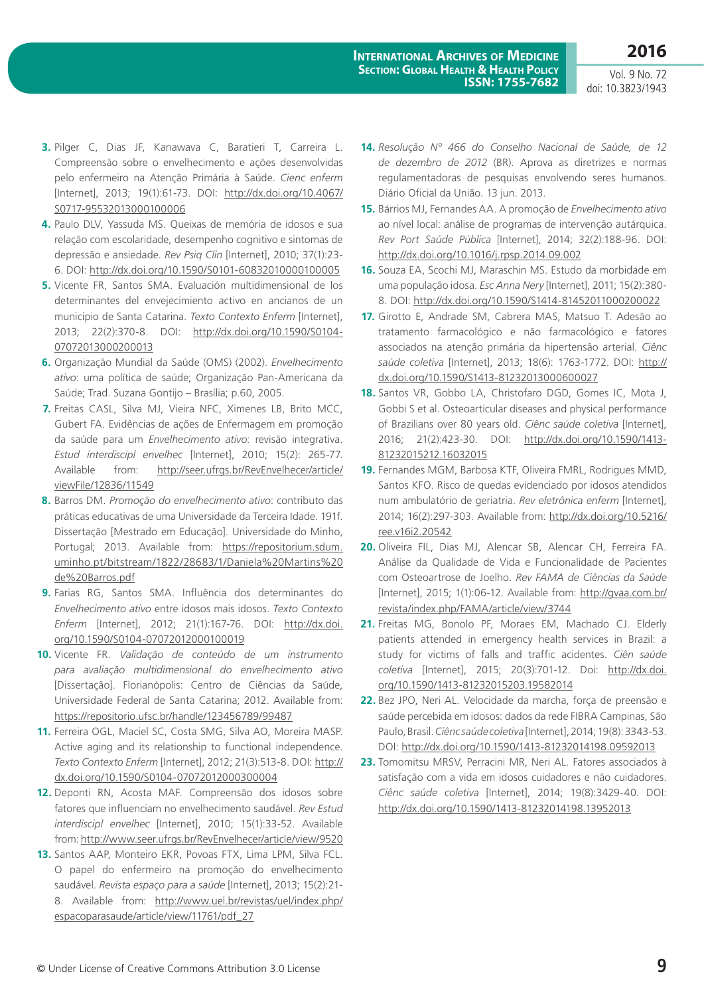**2016**

- **3.** Pilger C, Dias JF, Kanawava C, Baratieri T, Carreira L. Compreensão sobre o envelhecimento e ações desenvolvidas pelo enfermeiro na Atenção Primária à Saúde. *Cienc enferm*  [Internet], 2013; 19(1):61-73. DOI: [http://dx.doi.org/10.4067/](http://dx.doi.org/10.4067/S0717-95532013000100006) [S0717-95532013000100006](http://dx.doi.org/10.4067/S0717-95532013000100006)
- **4.** Paulo DLV, Yassuda MS. Queixas de memória de idosos e sua relação com escolaridade, desempenho cognitivo e sintomas de depressão e ansiedade. *Rev Psiq Clín* [Internet], 2010; 37(1):23- 6. DOI: <http://dx.doi.org/10.1590/S0101-60832010000100005>
- **5.** Vicente FR, Santos SMA. Evaluación multidimensional de los determinantes del envejecimiento activo en ancianos de un municipio de Santa Catarina. *Texto Contexto Enferm* [Internet], 2013; 22(2):370-8. DOI: [http://dx.doi.org/10.1590/S0104-](http://dx.doi.org/10.1590/S0104-07072013000200013) [07072013000200013](http://dx.doi.org/10.1590/S0104-07072013000200013)
- **6.** Organização Mundial da Saúde (OMS) (2002). *Envelhecimento ativo*: uma política de saúde; Organização Pan-Americana da Saúde; Trad. Suzana Gontijo – Brasília; p.60, 2005.
- **7.** Freitas CASL, Silva MJ, Vieira NFC, Ximenes LB, Brito MCC, Gubert FA. Evidências de ações de Enfermagem em promoção da saúde para um *Envelhecimento ativo*: revisão integrativa. *Estud interdiscipl envelhec* [Internet], 2010; 15(2): 265-77. Available from: [http://seer.ufrgs.br/RevEnvelhecer/article/](http://seer.ufrgs.br/RevEnvelhecer/article/viewFile/12836/11549) [viewFile/12836/11549](http://seer.ufrgs.br/RevEnvelhecer/article/viewFile/12836/11549)
- **8.** Barros DM. *Promoção do envelhecimento ativo*: contributo das práticas educativas de uma Universidade da Terceira Idade. 191f. Dissertação [Mestrado em Educação]. Universidade do Minho, Portugal; 2013. Available from: [https://repositorium.sdum.](https://repositorium.sdum.uminho.pt/bitstream/1822/28683/1/Daniela%20Martins%20de%20Barros.pdf) [uminho.pt/bitstream/1822/28683/1/Daniela%20Martins%20](https://repositorium.sdum.uminho.pt/bitstream/1822/28683/1/Daniela%20Martins%20de%20Barros.pdf) [de%20Barros.pdf](https://repositorium.sdum.uminho.pt/bitstream/1822/28683/1/Daniela%20Martins%20de%20Barros.pdf)
- **9.** Farias RG, Santos SMA. Influência dos determinantes do *Envelhecimento ativo* entre idosos mais idosos. *Texto Contexto Enferm* [Internet], 2012; 21(1):167-76. DOI: [http://dx.doi.](http://dx.doi.org/10.1590/S0104-07072012000100019) [org/10.1590/S0104-07072012000100019](http://dx.doi.org/10.1590/S0104-07072012000100019)
- **10.** Vicente FR. *Validação de conteúdo de um instrumento para avaliação multidimensional do envelhecimento ativo*  [Dissertação]. Florianópolis: Centro de Ciências da Saúde, Universidade Federal de Santa Catarina; 2012. Available from: <https://repositorio.ufsc.br/handle/123456789/99487>
- **11.** Ferreira OGL, Maciel SC, Costa SMG, Silva AO, Moreira MASP. Active aging and its relationship to functional independence. *Texto Contexto Enferm* [Internet], 2012; 21(3):513-8. DOI: [http://](http://dx.doi.org/10.1590/S0104-07072012000300004) [dx.doi.org/10.1590/S0104-07072012000300004](http://dx.doi.org/10.1590/S0104-07072012000300004)
- **12.** Deponti RN, Acosta MAF. Compreensão dos idosos sobre fatores que influenciam no envelhecimento saudável. *Rev Estud interdiscipl envelhec* [Internet], 2010; 15(1):33-52. Available from:<http://www.seer.ufrgs.br/RevEnvelhecer/article/view/9520>
- **13.** Santos AAP, Monteiro EKR, Povoas FTX, Lima LPM, Silva FCL. O papel do enfermeiro na promoção do envelhecimento saudável. *Revista espaço para a saúde* [Internet], 2013; 15(2):21- 8. Available from: [http://www.uel.br/revistas/uel/index.php/](http://www.uel.br/revistas/uel/index.php/espacoparasaude/article/view/11761/pdf_27) [espacoparasaude/article/view/11761/pdf\\_27](http://www.uel.br/revistas/uel/index.php/espacoparasaude/article/view/11761/pdf_27)
- **14.** *Resolução Nº 466 do Conselho Nacional de Saúde, de 12 de dezembro de 2012* (BR). Aprova as diretrizes e normas regulamentadoras de pesquisas envolvendo seres humanos. Diário Oficial da União. 13 jun. 2013.
- **15.** Bárrios MJ, Fernandes AA. A promoção de *Envelhecimento ativo* ao nível local: análise de programas de intervenção autárquica. *Rev Port Saúde Pública* [Internet], 2014; 32(2):188-96. DOI: <http://dx.doi.org/10.1016/j.rpsp.2014.09.002>
- **16.** Souza EA, Scochi MJ, Maraschin MS. Estudo da morbidade em uma população idosa. *Esc Anna Nery* [Internet], 2011; 15(2):380- 8. DOI: <http://dx.doi.org/10.1590/S1414-81452011000200022>
- **17.** Girotto E, Andrade SM, Cabrera MAS, Matsuo T. Adesão ao tratamento farmacológico e não farmacológico e fatores associados na atenção primária da hipertensão arterial. *Ciênc saúde coletiva* [Internet], 2013; 18(6): 1763-1772. DOI: [http://](http://dx.doi.org/10.1590/S1413-81232013000600027) [dx.doi.org/10.1590/S1413-81232013000600027](http://dx.doi.org/10.1590/S1413-81232013000600027)
- **18.** Santos VR, Gobbo LA, Christofaro DGD, Gomes IC, Mota J, Gobbi S et al. Osteoarticular diseases and physical performance of Brazilians over 80 years old. *Ciênc saúde coletiva* [Internet], 2016; 21(2):423-30. DOI: [http://dx.doi.org/10.1590/1413-](http://dx.doi.org/10.1590/1413-81232015212.16032015) [81232015212.16032015](http://dx.doi.org/10.1590/1413-81232015212.16032015)
- **19.** Fernandes MGM, Barbosa KTF, Oliveira FMRL, Rodrigues MMD, Santos KFO. Risco de quedas evidenciado por idosos atendidos num ambulatório de geriatria. *Rev eletrônica enferm* [Internet], 2014; 16(2):297-303. Available from: [http://dx.doi.org/10.5216/](http://dx.doi.org/10.5216/ree.v16i2.20542) [ree.v16i2.20542](http://dx.doi.org/10.5216/ree.v16i2.20542)
- **20.** Oliveira FIL, Dias MJ, Alencar SB, Alencar CH, Ferreira FA. Análise da Qualidade de Vida e Funcionalidade de Pacientes com Osteoartrose de Joelho. *Rev FAMA de Ciências da Saúde* [Internet], 2015; 1(1):06-12. Available from: [http://gvaa.com.br/](http://gvaa.com.br/revista/index.php/FAMA/article/view/3744) [revista/index.php/FAMA/article/view/3744](http://gvaa.com.br/revista/index.php/FAMA/article/view/3744)
- **21.** Freitas MG, Bonolo PF, Moraes EM, Machado CJ. Elderly patients attended in emergency health services in Brazil: a study for victims of falls and traffic acidentes. *Ciên saúde coletiva* [Internet], 2015; 20(3):701-12. Doi: [http://dx.doi.](http://dx.doi.org/10.1590/1413-81232015203.19582014) [org/10.1590/1413-81232015203.19582014](http://dx.doi.org/10.1590/1413-81232015203.19582014)
- **22.** Bez JPO, Neri AL. Velocidade da marcha, força de preensão e saúde percebida em idosos: dados da rede FIBRA Campinas, São Paulo, Brasil. *Ciênc saúde coletiva* [Internet], 2014; 19(8): 3343-53. DOI: <http://dx.doi.org/10.1590/1413-81232014198.09592013>
- **23.** Tomomitsu MRSV, Perracini MR, Neri AL. Fatores associados à satisfação com a vida em idosos cuidadores e não cuidadores. *Ciênc saúde coletiva* [Internet], 2014; 19(8):3429-40. DOI: <http://dx.doi.org/10.1590/1413-81232014198.13952013>